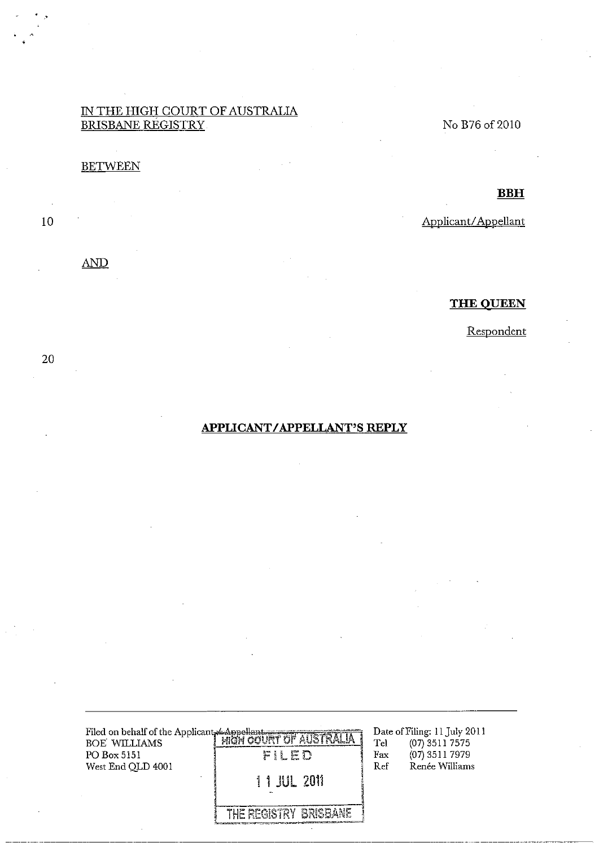#### IN THE HIGH COURT OF AUSTRALIA BRISBANE REGISTRY

## **BETWEEN**

 $10$ 

20

### $\overline{\mathrm{AND}}$

# No B76 of 2010

**BBH** 

Applicant/Appellant

#### **THE QUEEN**

Respondent

# **APPLICANT/APPELLANT'S REPLY**

| Filed on behalf of the Applicant Lappellant<br>BOE WILLIAMS<br>PO Box 5151<br>West End QLD 4001 | <b>EXPRESSION IN THE AUSTRALIA</b><br>FILED<br>11 JUL 2011 | Tel<br>Fax<br>Ref | Date of Filing: 11 July 2011<br>$(07)$ 3511 7575<br>$(07)$ 3511 7979<br>Renée Williams |  |
|-------------------------------------------------------------------------------------------------|------------------------------------------------------------|-------------------|----------------------------------------------------------------------------------------|--|
|                                                                                                 | THE REGISTRY BRISBANE                                      |                   |                                                                                        |  |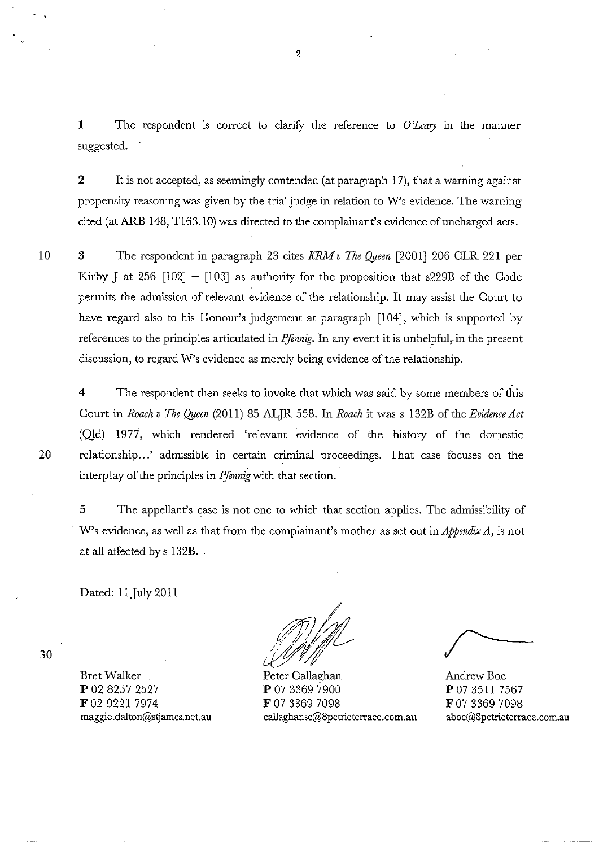1 The respondent is correct to clarify the reference to *O'Leary* in the manner suggested.

2 It is not accepted, as seemingly contended (at paragraph 17), that a warning against propensity reasoning was given by the trial judge in relation to W's evidence. The warning cited (at ARB 148, TI63.1O) was directed to the complainant's evidence of uncharged acts.

10

3 The respondent in paragraph 23 cites *KRM* v *The Oyeen* [2001] 206 CLR 221 per Kirby J at 256  $[102] - [103]$  as authority for the proposition that s229B of the Code permits the admission of relevant evidence of the relationship. It may assist the Court to have regard also to his Honour's judgement at paragraph [104], which is supported by references to the principles articulated in *Pfennig*. In any event it is unhelpful, in the present discussion, to regard W's evidence as merely being evidence of the relationship.

4 The respondent then seeks to invoke that which was said by some members of this Court in *Roach v The Oyeen* (2011) 85 ALJR 558. In *Roach* it was s 132B of the *Evidence Act*  (Qld) 1977, which rendered 'relevant evidence of the history of the domestic 20 relationship...' admissible in certain criminal proceedings. That case focuses on the interplay of the principles in *IJennig* with that section.

5 The appellant's case is not one to which that section applies. The admissibility of W's evidence, as well as that from the complainant's mother as set out in *Appendix A,* is not at all affected by s 132B. -

Dated: 11 July 2011

maggie.dalton@stjames.net.au

BretWalker P 02 8257 2527 F 02 9221 7974

/ ;?Jj)//'1 /{~j/)/;tL J!I/'f~:;{/

Peter Callaghan P 07 3369 7900 F 07 3369 7098 callaghansc@8petrieterrace.com.au

Andrew Boe P 07 3511 7567 F 07 3369 7098 aboe@8petrieterrace.com.au

30